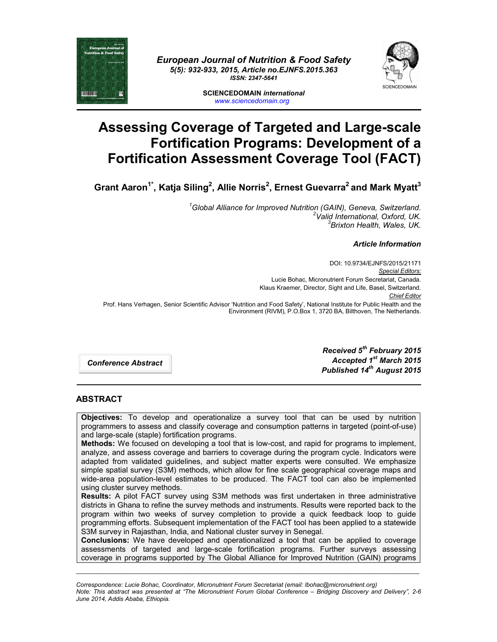

*European Journal of Nutrition & Food Safety 5(5): 932-933, 2015, Article no.EJNFS.2015.363 ISSN: 2347-5641*



**SCIENCEDOMAIN** *international www.sciencedomain.org*

## **Assessing Coverage of Targeted and Large-scale Fortification Programs: Development of a Fortification Assessment Coverage Tool (FACT)**

 $G$ rant Aaron<sup>1\*</sup>, Katja Siling<sup>2</sup>, Allie Norris<sup>2</sup>, Ernest Guevarra<sup>2</sup> and Mark Myatt<sup>3</sup>

*1 Global Alliance for Improved Nutrition (GAIN), Geneva, Switzerland. <sup>2</sup> Valid International, Oxford, UK. 3 Brixton Health, Wales, UK.*

## *Article Information*

DOI: 10.9734/EJNFS/2015/21171 *Special Editors:* Lucie Bohac, Micronutrient Forum Secretariat, Canada. Klaus Kraemer, Director, Sight and Life, Basel, Switzerland. *Chief Editor*  Prof. Hans Verhagen, Senior Scientific Advisor 'Nutrition and Food Safety', National Institute for Public Health and the Environment (RIVM), P.O.Box 1, 3720 BA, Bilthoven, The Netherlands.

*Conference Abstract*

*Received 5th February 2015 Accepted 1st March 2015 Published 14th August 2015*

## **ABSTRACT**

**Objectives:** To develop and operationalize a survey tool that can be used by nutrition programmers to assess and classify coverage and consumption patterns in targeted (point-of-use) and large-scale (staple) fortification programs.

**Methods:** We focused on developing a tool that is low-cost, and rapid for programs to implement, analyze, and assess coverage and barriers to coverage during the program cycle. Indicators were adapted from validated guidelines, and subject matter experts were consulted. We emphasize simple spatial survey (S3M) methods, which allow for fine scale geographical coverage maps and wide-area population-level estimates to be produced. The FACT tool can also be implemented using cluster survey methods.

**Results:** A pilot FACT survey using S3M methods was first undertaken in three administrative districts in Ghana to refine the survey methods and instruments. Results were reported back to the program within two weeks of survey completion to provide a quick feedback loop to guide programming efforts. Subsequent implementation of the FACT tool has been applied to a statewide S3M survey in Rajasthan, India, and National cluster survey in Senegal.

**Conclusions:** We have developed and operationalized a tool that can be applied to coverage assessments of targeted and large-scale fortification programs. Further surveys assessing coverage in programs supported by The Global Alliance for Improved Nutrition (GAIN) programs

*Correspondence: Lucie Bohac, Coordinator, Micronutrient Forum Secretariat (email: lbohac@micronutrient.org) Note: This abstract was presented at "The Micronutrient Forum Global Conference – Bridging Discovery and Delivery", 2-6 June 2014, Addis Ababa, Ethiopia.*

\_\_\_\_\_\_\_\_\_\_\_\_\_\_\_\_\_\_\_\_\_\_\_\_\_\_\_\_\_\_\_\_\_\_\_\_\_\_\_\_\_\_\_\_\_\_\_\_\_\_\_\_\_\_\_\_\_\_\_\_\_\_\_\_\_\_\_\_\_\_\_\_\_\_\_\_\_\_\_\_\_\_\_\_\_\_\_\_\_\_\_\_\_\_\_\_\_\_\_\_\_